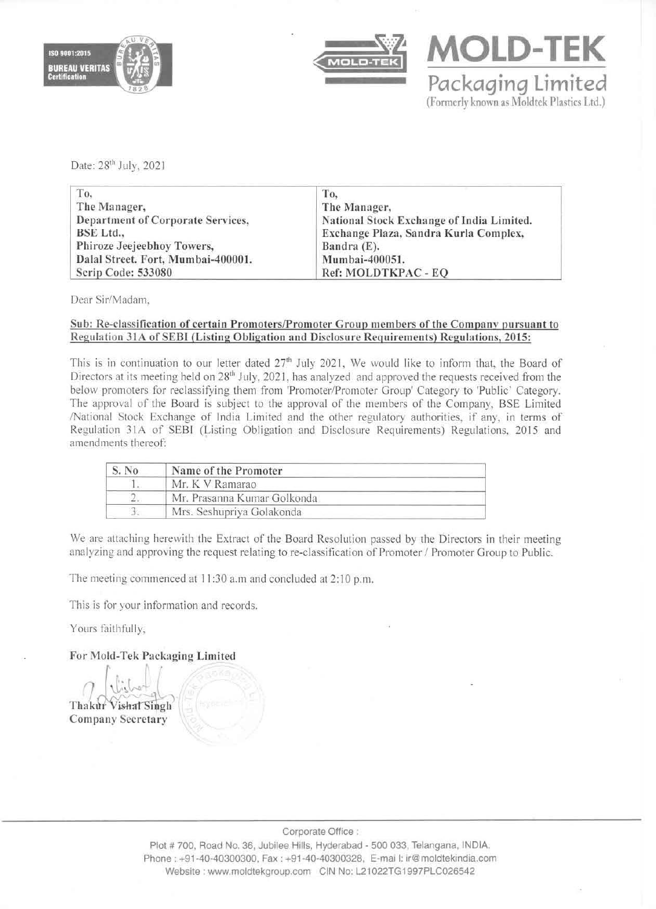



Packaging Limited (Formerly known as Moldtek Plastics Ltd.)

**MOLD-TEK** 

Date: 28<sup>th</sup> July, 2021

| To.                                | To.                                       |
|------------------------------------|-------------------------------------------|
| The Manager,                       | The Manager,                              |
| Department of Corporate Services,  | National Stock Exchange of India Limited. |
| BSE Ltd.,                          | Exchange Plaza, Sandra Kurla Complex,     |
| Phiroze Jeejeebhoy Towers,         | Bandra $(E)$ .                            |
| Dalal Street. Fort, Mumbai-400001. | Mumbai-400051.                            |
| Scrip Code: 533080                 | Ref: MOLDTKPAC - EQ                       |

Dear Sir/Madam,

## Sub: Re-classification of certain Promoters/Promoter Group members of the Company pursuant to Regulation 31A of SEBI (Listing Obligation and Disclosure Requirements) Regulations, 2015:

This is in continuation to our letter dated  $27<sup>th</sup>$  July 2021, We would like to inform that, the Board of Directors at its meeting held on 28<sup>th</sup> July, 2021, has analyzed and approved the requests received from the below promoters for reclassifying them from 'Promoter/Promoter Group' Category to 'Public' Category, The approval of the Board is subject to the approval of the members of the Company, BSE Limited !National Stock Exchange of India Limited and the other regulatory authorities, if any. in terms of Regulation 31A of SEBI (Listing Obligation and Disclosure Requirements) Regulations, 2015 and amendments thereof:

| S. No. | Name of the Promoter        |  |
|--------|-----------------------------|--|
|        | Mr. K V Ramarao             |  |
|        | Mr. Prasanna Kumar Golkonda |  |
|        | Mrs. Seshupriya Golakonda   |  |

We are attaching herewith the Extract of the Board Resolution passed by the Directors in their meeting analyzing and approving the request relating to re-classification of Promoter / Promoter Group to Public.

The meeting commenced at 11:30 a.m and concluded at 2:10 p.m.

This is for your information and records.

Yours faithfully,

For Mold-Tek Packaging Limited

 $7.$  where  $\sim$ Thakur Vishal Singh Company Secretary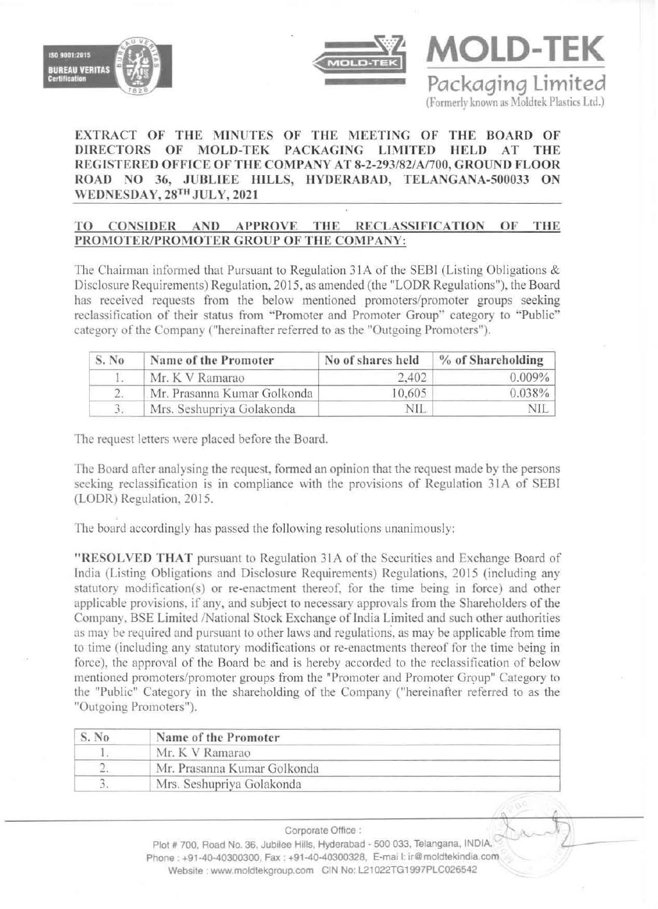





## EXTRACT OF THE MINUTES OF THE MEETING OF THE BOARD OF DIRECTORS OF MOLD-TEK PACKAGING LIMITED HELD AT THE REGISTERED OFFICE OFTHE COMPANY AT 8-2-293/82/AI700, GROUND FLOOR ROAD NO 36, JUBLIEE HILLS, HYDERABAD, TELANGANA-500033 ON WEDNESDAY, 28TH JULY, 2021

## TO CONSIDER AND APPROVE THE RECLASSIFICATION OF THE PROMOTER/PROMOTER GROUP OF THE COMPANY:

The Chairman informed that Pursuant to Regulation 31A of the SEBI (Listing Obligations  $\&$ Disclosure Requirements) Regulation, 2015, as amended (the "LODR Regulations"), the Board has received requests from the below mentioned promoters/promoter groups seeking reclassification of their status from "Promoter and Promoter Group" category to "Public" categor) of the Company ("hereinafter referred to as the "Outgoing Promoters").

| S. No | Name of the Promoter        | No of shares held | % of Shareholding |
|-------|-----------------------------|-------------------|-------------------|
|       | Mr. K V Ramarao             | 2.402             | $0.009\%$         |
|       | Mr. Prasanna Kumar Golkonda | 10.605            | $0.038\%$         |
|       | Mrs. Seshupriya Golakonda   | NIL               | NIL               |

The request letters were placed before the Board.

The Board after analysing the request. formed an opinion that the request made by the persons seeking reclassification is in compliance with the provisions of Regulation 31A of SEBI (LODR) Regulation. 2015.

The board accordingly has passed the following resolutions unanimously:

"RESOLVED THAT pursuant to Regulation 31 A of the Securities and Exchange Board of India (Listing Obligations nnd Disclosure Requirements) Regulations. 2015 (including any statutory modification(s) or re-enactment thereof, for the time being in force) and other applicable provisions. if any, and subject to necessary npprovals from the Shareholders of the Company, BSE Limited /National Stock Exchange of India Limited and such other authorities as may be required and pursuant to other laws and regulations, as may be applicable from time to time (including any statutory modifications or re-enactments thereof for the time being in force), the approval of the Board be and is hereby accorded to the reclassification of below mentioned promoters/promoter groups from the "Promoter and Promoter Group" Category to the "Public" Category in the shareholding of the Company ("hereinafter referred to as the "Outgoing Promoters").

| S. No | Name of the Promoter        |
|-------|-----------------------------|
|       | Mr. K V Ramarao             |
|       | Mr. Prasanna Kumar Golkonda |
|       | Mrs. Seshupriya Golakonda   |

Corporate Office :

Plot # 700, Road No. 36, Jubilee Hills, Hyderabad - 500 033, Telangana, INDIA, Phone: +91-40-40300300, Fax: +91-40-40300328, E-mai l: ir@moldtekindia.com Website : www.moldtekgroup.com CIN No: L21022TG1997PLC026542